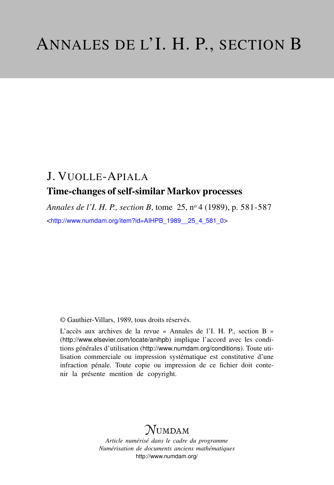# J. VUOLLE-APIALA Time-changes of self-similar Markov processes

*Annales de l'I. H. P., section B*, tome 25, n<sup>o</sup> 4 (1989), p. 581-587 <[http://www.numdam.org/item?id=AIHPB\\_1989\\_\\_25\\_4\\_581\\_0](http://www.numdam.org/item?id=AIHPB_1989__25_4_581_0)>

© Gauthier-Villars, 1989, tous droits réservés.

L'accès aux archives de la revue « Annales de l'I. H. P., section B » (<http://www.elsevier.com/locate/anihpb>) implique l'accord avec les conditions générales d'utilisation (<http://www.numdam.org/conditions>). Toute utilisation commerciale ou impression systématique est constitutive d'une infraction pénale. Toute copie ou impression de ce fichier doit contenir la présente mention de copyright.

# **NUMDAM**

*Article numérisé dans le cadre du programme Numérisation de documents anciens mathématiques* <http://www.numdam.org/>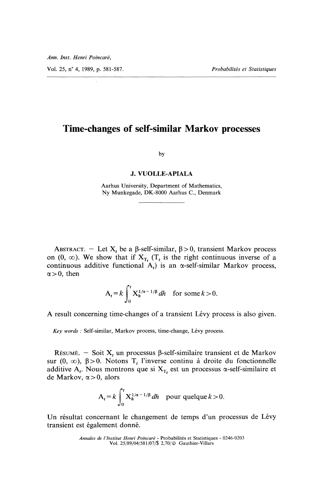Vol. 25, n° 4, 1989, p. 581-587. Probabilités et Statistiques

## Time-changes of self-similar Markov processes

by

#### J. VUOLLE-APIALA

Aarhus University, Department of Mathematics, Ny Munkegade, DK-8000 Aarhus C., Denmark

ABSTRACT. - Let  $X_t$  be a  $\beta$ -self-similar,  $\beta > 0$ , transient Markov process on (0,  $\infty$ ). We show that if  $X_{T_t}$  ( $T_t$  is the right continuous inverse of a continuous additive functional  $A_t$ ) is an  $\alpha$ -self-similar Markov process,  $\alpha > 0$ , then

$$
A_t = k \int_0^t X_h^{1/\alpha - 1/\beta} dh \quad \text{for some } k > 0.
$$

A result concerning time-changes of a transient Lévy process is also given.

Key words : Self-similar, Markov process, time-change, Lévy process.

RÉSUMÉ. - Soit  $X_t$  un processus  $\beta$ -self-similaire transient et de Markov sur (0,  $\infty$ ),  $\beta > 0$ . Notons T<sub>t</sub> l'inverse continu à droite du fonctionnelle additive A<sub>t</sub>. Nous montrons que si  $X_{T_t}$  est un processus  $\alpha$ -self-similaire et de Markov,  $\alpha > 0$ , alors

$$
A_t = k \int_0^t X_h^{1/\alpha - 1/\beta} dh \quad \text{pour que} \, \text{que } k > 0.
$$

Un résultat concernant le changement de temps d'un processus de Lévy transient est également donne.

Annales de l'Institut Henri Poincaré - Probabilités et Statistiques - 0246-0203 Vol. 25/89/04/581/07/\$ 2,70/ © Gauthier-Villars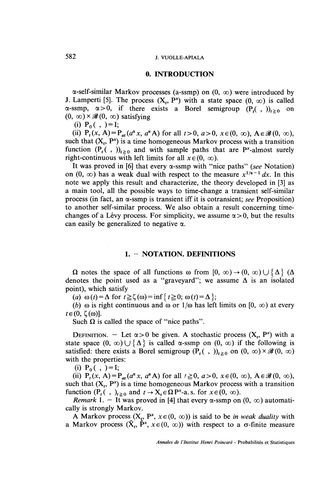### 582 J. VUOLLE-APIALA

#### 0. INTRODUCTION

 $\alpha$ -self-similar Markov processes (a-ssmp) on (0,  $\infty$ ) were introduced by J. Lamperti [5]. The process  $(X_t, P^x)$  with a state space  $(0, \infty)$  is called  $\alpha$ -ssmp,  $\alpha > 0$ , if there exists a Borel semigroup  $(P_1, p_2)$  on  $(0, \infty) \times \mathscr{B}(0, \infty)$  satisfying

(i)  $P_0( , ) = I;$ 

(ii)  $P_t(x, A) = P_{at}(a^a x, a^a A)$  for all  $t > 0$ ,  $a > 0$ ,  $x \in (0, \infty)$ ,  $A \in \mathcal{B}(0, \infty)$ , such that  $(X_t, P^x)$  is a time homogeneous Markov process with a transition function  $(P_t(\cdot, \cdot))_{t\geq 0}$  and with sample paths that are P<sup>x</sup>-almost surely right-continuous with left limits for all  $x \in (0, \infty)$ .

It was proved in [6] that every  $\alpha$ -ssmp with "nice paths" (see Notation) on  $(0, \infty)$  has a weak dual with respect to the measure  $x^{1/\alpha - 1} dx$ . In this note we apply this result and characterize, the theory developed in [3] as a main tool, all the possible ways to time-change a transient self-similar process (in fact, an  $\alpha$ -ssmp is transient iff it is cotransient; see Proposition) to another self-similar process. We also obtain a result concerning timechanges of a Lévy process. For simplicity, we assume  $\alpha > 0$ , but the results can easily be generalized to negative  $\alpha$ .

#### 1. - NOTATION. DEFINITIONS

 $\Omega$  notes the space of all functions  $\omega$  from  $[0, \infty) \rightarrow (0, \infty) \cup {\{\Delta\}}$  ( $\Delta$ ) denotes the point used as a "graveyard"; we assume  $\Delta$  is an isolated point), which satisfy

(a)  $\omega(t) = \Delta$  for  $t \ge \zeta(\omega) = \inf \{ t \ge 0; \omega(t) = \Delta \};$ 

(b)  $\omega$  is right continuous and  $\omega$  or  $1/\omega$  has left limits on  $[0, \infty)$  at every  $t \in (0, \zeta(\omega))$ .

Such  $\Omega$  is called the space of "nice paths".

DEFINITION. - Let  $\alpha > 0$  be given. A stochastic process  $(X_t, P^x)$  with a state space  $(0, \infty) \cup \{ \Delta \}$  is called  $\alpha$ -ssmp on  $(0, \infty)$  if the following is satisfied: there exists a Borel semigroup  $(P_t(\ ,\ ))_{t\geq 0}$  on  $(0,\infty)\times\mathscr{B}(0,\infty)$ with the properties:

(i)  $P_0( , ) = I;$ 

(ii)  $P_t(x, A) = P_{at}(a^{\alpha}x, a^{\alpha}A)$  for all  $t \ge 0$ ,  $a > 0$ ,  $x \in (0, \infty)$ ,  $A \in \mathcal{B}(0, \infty)$ , such that  $(X_t, P^x)$  is a time homogeneous Markov process with a transition function  $(P_t(\cdot, \cdot)_{t \geq 0}$  and  $t \to X_t \in \Omega P^x$ -a.s. for  $x \in (0, \infty)$ .

Remark 1. - It was proved in [4] that every  $\alpha$ -ssmp on  $(0, \infty)$  automatically is strongly Markov.

A Markov process  $(X_t, P^x, x \in (0, \infty))$  is said to be *in weak duality* with a Markov process  $(\hat{X}_t, \hat{P}^x, x \in (0, \infty))$  with respect to a  $\sigma$ -finite measure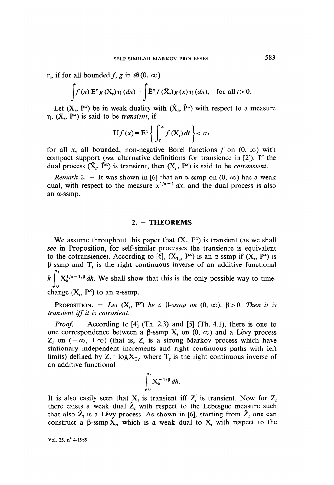$\eta$ , if for all bounded f, g in  $\mathscr{B}(0, \infty)$ 

$$
\int f(x) E^x g(X_t) \eta(dx) = \int \hat{E}^x f(\hat{X}_t) g(x) \eta(dx), \text{ for all } t > 0.
$$

Let  $(X_t, P^x)$  be in weak duality with  $(\hat{X}_t, \hat{P}^x)$  with respect to a measure  $\eta$ . (X<sub>t</sub>, P<sup>x</sup>) is said to be *transient*, if

$$
Uf(x) = E^{x} \left\{ \int_{0}^{\infty} f(X_{t}) dt \right\} < \infty
$$

for all x, all bounded, non-negative Borel functions f on  $(0, \infty)$  with compact support (see alternative definitions for transience in [2]). If the dual process  $(\hat{X}_t, \hat{P}^x)$  is transient, then  $(X_t, P^x)$  is said to be *cotransient*.

Remark 2. - It was shown in [6] that an  $\alpha$ -ssmp on  $(0, \infty)$  has a weak dual, with respect to the measure  $x^{1/\alpha - 1} dx$ , and the dual process is also an a-ssmp.

### 2. - THEOREMS

We assume throughout this paper that  $(X_t, P^x)$  is transient (as we shall see in Proposition, for self-similar processes the transience is equivalent to the cotransience). According to [6],  $(X_T, P^x)$  is an  $\alpha$ -ssmp if  $(X_t, P^x)$  is  $\beta$ -ssmp and T<sub>t</sub> is the right continuous inverse of an additive functional  $k \int_{0}^{t} X_h^{1/\alpha - 1/\beta} dh$ . We shall show that this is the only possible way to time-

change  $(X_t, P^x)$  to an  $\alpha$ -ssmp.

**PROPOSITION.** - Let  $(X_t, P^x)$  be a  $\beta$ -ssmp on  $(0, \infty)$ ,  $\beta > 0$ . Then it is transient iff it is cotrasient.

*Proof.*  $-$  According to [4] (Th. 2.3) and [5] (Th. 4.1), there is one to one correspondence between a  $\beta$ -ssmp  $X_t$  on  $(0, \infty)$  and a Lévy process  $Z_t$  on  $(-\infty, +\infty)$  (that is,  $Z_t$  is a strong Markov process which have stationary independent increments and right continuous paths with left limits) defined by  $Z_t = \log X_{T_t}$ , where  $T_t$  is the right continuous inverse of an additive functional

$$
\int_0^t X_h^{-1/\beta} dh
$$

It is also easily seen that  $X_t$  is transient iff  $Z_t$  is transient. Now for  $Z_t$ there exists a weak dual  $2<sub>t</sub>$  with respect to the Lebesgue measure such that also  $\hat{Z}_t$  is a Lévy process. As shown in [6], starting from  $\hat{Z}_t$  one can construct a  $\beta$ -ssmp  $\hat{X}_t$ , which is a weak dual to  $X_t$  with respect to the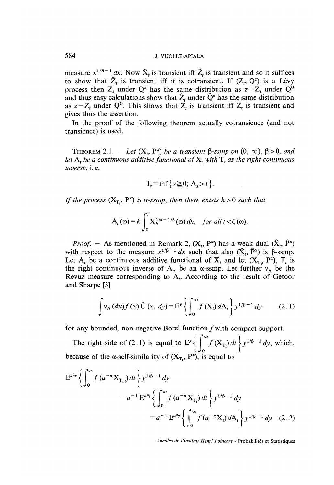measure  $x^{1/B-1} dx$ . Now  $\hat{X}_t$  is transient iff  $\hat{Z}_t$  is transient and so it suffices to show that  $\hat{Z}_t$  is transient iff it is cotransient. If  $(Z_t, Q^z)$  is a Lévy process then  $Z_t$  under  $Q^z$  has the same distribution as  $z + Z_t$  under  $Q^0$ and thus easy calculations show that  $\hat{Z}_t$  under  $\hat{Q}^z$  has the same distribution as  $z - Z_t$  under Q<sup>0</sup>. This shows that  $Z_t$  is transient iff  $\hat{Z}_t$  is transient and gives thus the assertion.

In the proof of the following theorem actually cotransience (and not transience) is used.

THEOREM 2.1. - Let  $(X_t, P^x)$  be a transient  $\beta$ -ssmp on  $(0, \infty)$ ,  $\beta > 0$ , and let  $A_t$ , be a continuous additive functional of  $X_t$ , with  $T_t$  as the right continuous inverse, i. e.

$$
T_t = \inf\{s \ge 0; A_s > t\}.
$$

If the process  $(X_T, P^x)$  is  $\alpha$ -ssmp, then there exists  $k > 0$  such that

$$
A_t(\omega) = k \int_0^t X_h^{1/\alpha - 1/\beta}(\omega) dh, \quad \text{for all } t < \zeta(\omega).
$$

*Proof.* - As mentioned in Remark 2,  $(X_t, P^x)$  has a weak dual  $(\hat{X}_t, \hat{P}^x)$ with respect to the measure  $x^{1/\beta - 1} dx$  such that also  $(\hat{X}, \hat{P}^x)$  is  $\beta$ -ssmp. Let A<sub>t</sub> be a continuous additive functional of  $X_t$  and let  $(X_T, P^x)$ ,  $T_t$  is the right continuous inverse of A<sub>t</sub>, be an  $\alpha$ -ssmp. Let further  $v_A$  be the Revuz measure corresponding to  $A_t$ . According to the result of Getoor and Sharpe [3]

$$
\int v_{A} (dx) f (x) \hat{U} (x, dy) = E^{y} \left\{ \int_{0}^{\infty} f (X_{t}) dA_{t} \right\} y^{1/\beta - 1} dy \qquad (2.1)
$$

for any bounded, non-negative Borel function  $f$  with compact support.

The right side of (2.1) is equal to  $E^y \left\{ \int_0^{\infty} f(X_{T_t}) dt \right\} y^{1/\beta - 1} dy$ , which, because of the  $\alpha$ -self-similarity of  $(X_T, P^x)$ , is equal to

$$
E^{a^{a}y} \left\{ \int_{0}^{\infty} f(a^{-\alpha} X_{T_{at}}) dt \right\} y^{1/\beta - 1} dy
$$
  
=  $a^{-1} E^{a^{a}y} \left\{ \int_{0}^{\infty} f(a^{-\alpha} X_{T_{t}}) dt \right\} y^{1/\beta - 1} dy$   
=  $a^{-1} E^{a^{a}y} \left\{ \int_{0}^{\infty} f(a^{-\alpha} X_{t}) dA_{t} \right\} y^{1/\beta - 1} dy$  (2.2)

Annales de l'lnstitut Henri Poincaré - Probabilités et Statistiques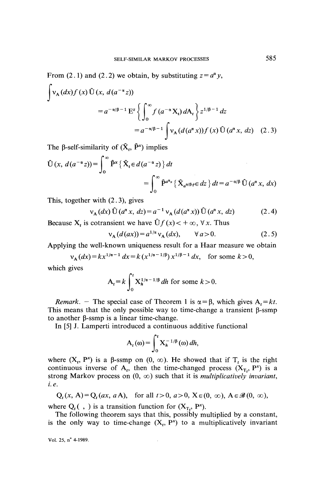From (2.1) and (2.2) we obtain, by substituting  $z = a^{\alpha} y$ ,

$$
\int v_{A}(dx) f(x) \hat{U}(x, d(a^{-\alpha}z))
$$
  
=  $a^{-\alpha/\beta - 1} E^{z} \left\{ \int_{0}^{\infty} f(a^{-\alpha}X_{t}) dA_{t} \right\} z^{1/\beta - 1} dz$   
=  $a^{-\alpha/\beta - 1} \int v_{A}(d(a^{\alpha}x)) f(x) \hat{U}(a^{\alpha}x, dz)$  (2.3)

The  $\beta$ -self-similarity of  $(\hat{X}_t, \hat{P}^x)$  implies

$$
\hat{U}(x, d(a^{-\alpha}z)) = \int_0^\infty \hat{P}^x \left\{ \hat{X}_t \in d(a^{-\alpha}z) \right\} dt
$$
  
= 
$$
\int_0^\infty \hat{P}^{a^x x} \left\{ \hat{X}_{a^{\alpha/\beta}t} \in dz \right\} dt = a^{-\alpha/\beta} \hat{U}(a^a x, dx)
$$

This, together with (2. 3), gives

$$
v_{A}(dx) \hat{U}(a^{a} x, dz) = a^{-1} v_{A}(d(a^{a} x)) \hat{U}(a^{a} x, dz)
$$
 (2.4)

Because  $X_t$  is cotransient we have  $\hat{U}f(x) < +\infty$ ,  $\forall x$ . Thus

$$
v_{A}(d(ax)) = a^{1/\alpha} v_{A}(dx), \qquad \forall a > 0.
$$
 (2.5)

Applying the well-known uniqueness result for a Haar measure we obtain

$$
v_A(dx) = kx^{1/\alpha - 1} dx = k(x^{1/\alpha - 1/\beta}) x^{1/\beta - 1} dx
$$
, for some  $k > 0$ ,

which gives

$$
A_t = k \int_0^t X_h^{1/\alpha - 1/\beta} dh
$$
 for some  $k > 0$ .

Remark. - The special case of Theorem 1 is  $\alpha = \beta$ , which gives  $A_t = kt$ . This means that the only possible way to time-change a transient  $\beta$ -ssmp to another  $\beta$ -ssmp is a linear time-change.

In [5] J. Lamperti introduced a continuous additive functional

$$
A_t(\omega) = \int_0^t X_h^{-1/\beta}(\omega) dh,
$$

where  $(X_t, P^x)$  is a  $\beta$ -ssmp on  $(0, \infty)$ . He showed that if  $T_t$  is the right continuous inverse of  $A_t$ , then the time-changed process  $(X_T, P^x)$  is a strong Markov process on  $(0, \infty)$  such that it is *multiplicatively invariant*, I. e.

$$
Q_t(x, A) = Q_t(ax, aA), \text{ for all } t > 0, a > 0, X \in (0, \infty), A \in \mathcal{B}(0, \infty),
$$

where  $Q_t(\cdot, \cdot)$  is a transition function for  $(X_T, P^x)$ .

The following theorem says that this, possibly multiplied by a constant, is the only way to time-change  $(X_t, P^x)$  to a multiplicatively invariant

Vol. 25,  $n^{\circ}$  4-1989.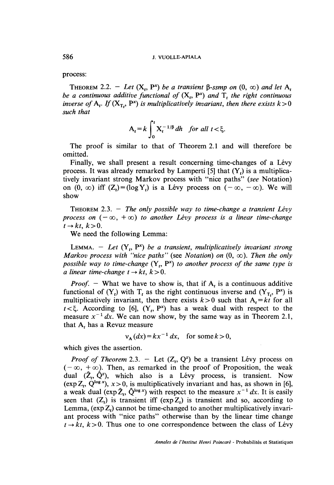process:

THEOREM 2.2. - Let  $(X_t, P^x)$  be a transient  $\beta$ -ssmp on  $(0, \infty)$  and let  $A_t$ be a continuous additive functional of  $(X_t, P^x)$  and  $T_t$ , the right continuous inverse of A<sub>t</sub>. If  $(X_T, P^x)$  is multiplicatively invariant, then there exists  $k > 0$ such that

$$
A_t = k \int_0^t X_t^{-1/\beta} dh \quad \text{for all } t < \xi.
$$

The proof is similar to that of Theorem 2.1 and will therefore be omitted.

Finally, we shall present a result concerning time-changes of a Lévy process. It was already remarked by Lamperti [5] that  $(Y_t)$  is a multiplicatively invariant strong Markov process with "nice paths" (see Notation) on  $(0, \infty)$  iff  $(Z_t) = (\log Y_t)$  is a Lévy process on  $(-\infty, -\infty)$ . We will show

THEOREM 2.3. - The only possible way to time-change a transient Lévy process on  $(-\infty, +\infty)$  to another Lévy process is a linear time-change  $t \rightarrow kt, k>0.$ 

We need the following Lemma:

LEMMA. - Let  $(Y_t, P^x)$  be a transient, multiplicatively invariant strong Markov process with "nice paths" (see Notation) on  $(0, \infty)$ . Then the only possible way to time-change  $(Y_t, P^x)$  to another process of the same type is a linear time-change  $t \rightarrow kt, k > 0$ .

*Proof.* - What we have to show is, that if  $A_t$  is a continuous additive functional of  $(Y_t)$  with  $T_t$  as the right continuous inverse and  $(Y_T, P^x)$  is multiplicatively invariant, then there exists  $k > 0$  such that  $A_t = kt$  for all  $t < \xi$ . According to [6],  $(Y_t, P^x)$  has a weak dual with respect to the measure  $x^{-1} dx$ . We can now show, by the same way as in Theorem 2.1, that  $A_t$  has a Revuz measure

 $v_A(dx) = kx^{-1} dx$ , for some  $k > 0$ ,

which gives the assertion.

*Proof of Theorem* 2.3. - Let  $(Z_t, Q^z)$  be a transient Lévy process on  $(-\infty, +\infty)$ . Then, as remarked in the proof of Proposition, the weak dual  $(\hat{Z}_t, \hat{Q}^z)$ , which also is a Lévy process, is transient. Now (exp  $Z_t$ ,  $Q^{\log x}$ ),  $x > 0$ , is multiplicatively invariant and has, as shown in [6], a weak dual (exp  $\hat{Z}_t$ ,  $\hat{Q}^{\log x}$ ) with respect to the measure  $x^{-1} dx$ . It is easily seen that  $(Z_t)$  is transient iff  $(\exp Z_t)$  is transient and so, according to Lemma,  $(\exp Z_t)$  cannot be time-changed to another multiplicatively invariant process with "nice paths" otherwise than by the linear time change  $t \rightarrow kt, k > 0$ . Thus one to one correspondence between the class of Lévy